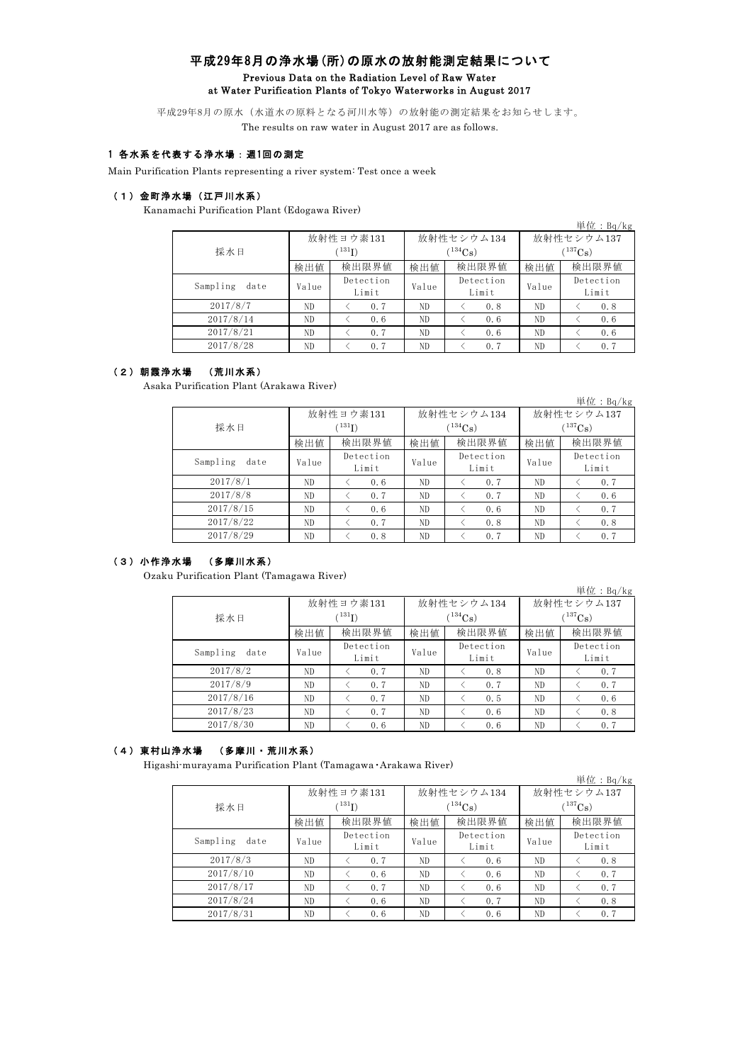### 平成29年8月の浄水場(所)の原水の放射能測定結果について Previous Data on the Radiation Level of Raw Water at Water Purification Plants of Tokyo Waterworks in August 2017

平成29年8月の原水(水道水の原料となる河川水等)の放射能の測定結果をお知らせします。 The results on raw water in August 2017 are as follows.

### 1 各水系を代表する浄水場:週1回の測定

Main Purification Plants representing a river system: Test once a week

#### (1)金町浄水場(江戸川水系)

Kanamachi Purification Plant (Edogawa River)

|                     |             |                    |                          |                    |              | 単位: $Bq/kg$        |  |
|---------------------|-------------|--------------------|--------------------------|--------------------|--------------|--------------------|--|
|                     |             | 放射性ヨウ素131          |                          | 放射性セシウム134         | 放射性セシウム137   |                    |  |
| 採水日                 | $^{131}$ I) |                    | $\binom{134}{\text{Cs}}$ |                    | $(^{137}Cs)$ |                    |  |
| 検出限界値<br>検出値<br>検出値 | 検出限界値       | 検出値                | 検出限界値                    |                    |              |                    |  |
| Sampling<br>date    | Value       | Detection<br>Limit | Value                    | Detection<br>Limit | Value        | Detection<br>Limit |  |
| 2017/8/7            | ND.         | 0.7                | ND                       | 0.8                | ND.          | 0.8                |  |
| 2017/8/14           | ND          | 0.6                | ND                       | 0.6                | ND           | 0.6                |  |
| 2017/8/21           | ND          | 0.7                | ND                       | 0.6                | ND           | 0.6                |  |
| 2017/8/28           | ND.         | 0.7                | ND.                      | 0.7                | ND.          | 0.7                |  |

#### (2)朝霞浄水場 (荒川水系)

Asaka Purification Plant (Arakawa River)

|                  |                    |           |       |              |              | 単位: $Bq/kg$ |  |
|------------------|--------------------|-----------|-------|--------------|--------------|-------------|--|
|                  |                    | 放射性ヨウ素131 |       | 放射性セシウム134   | 放射性セシウム137   |             |  |
| 採水日              |                    | (131)     |       | $(^{134}Cs)$ | $(^{137}Cs)$ |             |  |
|                  | 検出値                | 検出限界値     | 検出値   | 検出限界値        | 検出値          | 検出限界値       |  |
| Sampling<br>date | Detection<br>Value |           | Value | Detection    | Value        | Detection   |  |
|                  |                    | Limit     |       | Limit        |              | Limit       |  |
| 2017/8/1         | ND                 | 0.6       | ND    | 0.7          | ND           | 0.7         |  |
| 2017/8/8         | ND                 | 0.7       | ND    | 0.7          | ND           | 0.6         |  |
| 2017/8/15        | ND                 | 0.6       | ND    | 0.6          | ND           | 0.7         |  |
| 2017/8/22        | ND                 | 0.7       | ND    | 0.8          | ND           | 0.8         |  |
| 2017/8/29        | ND                 | 0.8       | ND.   | 0.7          | ND           | 0.7         |  |

# (3)小作浄水場 (多摩川水系)

Ozaku Purification Plant (Tamagawa River)

|                  |       |                    |       |                    |              | 単位:Bq/kg           |  |
|------------------|-------|--------------------|-------|--------------------|--------------|--------------------|--|
|                  |       | 放射性ヨウ素131          |       | 放射性セシウム134         | 放射性セシウム137   |                    |  |
| 採水日              |       | $(^{131}I)$        |       | $(134)$ Cs         | $(^{137}Cs)$ |                    |  |
|                  | 検出値   | 検出限界値              | 検出値   | 検出限界値              | 検出値          | 検出限界値              |  |
| Sampling<br>date | Value | Detection<br>Limit | Value | Detection<br>Limit | Value        | Detection<br>Limit |  |
| 2017/8/2         | ND    | 0.7                | ND.   | 0.8                | ND           | 0.7                |  |
| 2017/8/9         | ND    | 0.7                | ND    | 0.7                | ND.          | 0.7                |  |
| 2017/8/16        | ND    | 0.7                | ND    | 0.5                | ND           | 0.6                |  |
| 2017/8/23        | ND    | 0.7                | ND    | 0.6                | ND.          | 0.8                |  |
| 2017/8/30        | ND    | 0.6                | ND    | 0.6                | ND           | 0.7                |  |

# (4)東村山浄水場 (多摩川・荒川水系)

Higashi-murayama Purification Plant (Tamagawa・Arakawa River)

|                  |                                                                                                                                            |           |    |            |            | 単位: $Bq/kg$        |  |
|------------------|--------------------------------------------------------------------------------------------------------------------------------------------|-----------|----|------------|------------|--------------------|--|
|                  |                                                                                                                                            | 放射性ヨウ素131 |    | 放射性セシウム134 | 放射性セシウム137 |                    |  |
| 採水日              | $(^{131}\mathrm{I})$                                                                                                                       |           |    | $134C_8$ ) | $137C_8$ ) |                    |  |
|                  | 検出限界値<br>検出限界値<br>検出値<br>検出値<br>検出値<br>Detection<br>Detection<br>Value<br>Value<br>Value<br>Limit<br>Limit<br>ND<br>ND<br>0.7<br>ND<br>0.6 | 検出限界値     |    |            |            |                    |  |
| Sampling<br>date |                                                                                                                                            |           |    |            |            | Detection<br>Limit |  |
| 2017/8/3         |                                                                                                                                            |           |    |            |            | 0.8                |  |
| 2017/8/10        | ND                                                                                                                                         | 0.6       | ND | 0.6        | ND         | 0.7                |  |
| 2017/8/17        | ND                                                                                                                                         | 0.7       | ND | 0.6        | ND         | 0.7                |  |
| 2017/8/24        | ND                                                                                                                                         | 0.6       | ND | 0.7        | ND         | 0.8                |  |
| 2017/8/31        | ND                                                                                                                                         | 0.6       | ND | 0.6        | ND         | 0.7                |  |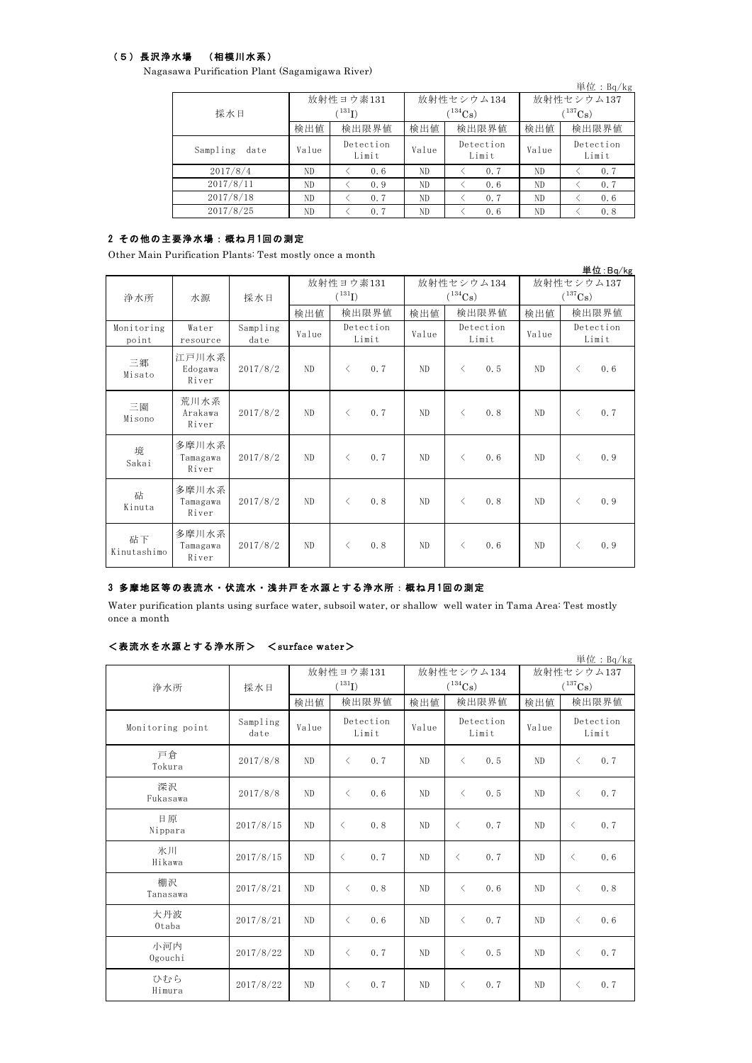### (5)長沢浄水場 (相模川水系)

Nagasawa Purification Plant (Sagamigawa River)

|                              |       |                    |              |                    |            | 単位: $Bq/kg$        |  |
|------------------------------|-------|--------------------|--------------|--------------------|------------|--------------------|--|
|                              |       | 放射性ヨウ素131          |              | 放射性セシウム134         | 放射性セシウム137 |                    |  |
| $^{131}$ I)<br>採水日           |       |                    | $(^{134}Cs)$ | $(^{137}Cs)$       |            |                    |  |
| 検出限界値<br>検出限界値<br>検出値<br>検出値 | 検出値   | 検出限界値              |              |                    |            |                    |  |
| Sampling<br>date             | Value | Detection<br>Limit | Value        | Detection<br>Limit | Value      | Detection<br>Limit |  |
| 2017/8/4                     | ND.   | 0.6                | ND           | 0.7                | ND.        | 0.7                |  |
| 2017/8/11                    | ND    | 0.9                | ND           | 0.6                | ND         | 0.7                |  |
| 2017/8/18                    | ND    | 0.7                | ND           | 0.7                | ND         | 0.6                |  |
| 2017/8/25                    | ND.   | 0.7                | ND           | 0.6                | ND.        | 0.8                |  |

## 2 その他の主要浄水場:概ね月1回の測定

Other Main Purification Plants: Test mostly once a month

|                     |                            |                  |                |                    |                             |                  |            | 単位:Bq/kg           |  |
|---------------------|----------------------------|------------------|----------------|--------------------|-----------------------------|------------------|------------|--------------------|--|
|                     |                            |                  | 放射性ヨウ素131      |                    |                             | 放射性セシウム134       | 放射性セシウム137 |                    |  |
| 浄水所                 | 水源                         | 採水日              |                | $(^{131}I)$        |                             | $(^{134}Cs)$     |            | $(^{137}Cs)$       |  |
|                     |                            |                  | 検出値            | 検出限界値              | 検出値                         | 検出限界値            | 検出値        | 検出限界値              |  |
| Monitoring<br>point | Water<br>resource          | Sampling<br>date | Value          | Detection<br>Limit | Detection<br>Value<br>Limit |                  | Value      | Detection<br>Limit |  |
| 三郷<br>Misato        | 江戸川水系<br>Edogawa<br>River  | 2017/8/2         | ND             | 0.7<br>$\lt$       | ND.                         | $\langle$<br>0.5 | ND.        | 0.6<br>$\lt$       |  |
| 三園<br>Misono        | 荒川水系<br>Arakawa<br>River   | 2017/8/2         | ND             | 0.7<br>$\langle$   | ND                          | $\langle$<br>0.8 | ND         | 0.7<br>$\lt$       |  |
| 境<br>Sakai          | 多摩川水系<br>Tamagawa<br>River | 2017/8/2         | N <sub>D</sub> | 0.7<br>$\langle$   | ND                          | 0.6<br>$\langle$ | ND         | 0.9<br>$\langle$   |  |
| 砧<br>Kinuta         | 多摩川水系<br>Tamagawa<br>River | 2017/8/2         | ND             | 0.8<br>$\lt$       | ND.                         | 0.8<br>$\langle$ | ND.        | 0.9<br>$\langle$   |  |
| 砧下<br>Kinutashimo   | 多摩川水系<br>Tamagawa<br>River | 2017/8/2         | N <sub>D</sub> | 0.8<br>$\lt$       | ND.                         | 0.6<br>$\lt$     | ND.        | 0.9<br>$\lt$       |  |

# 3 多摩地区等の表流水・伏流水・浅井戸を水源とする浄水所:概ね月 1回の測定

Water purification plants using surface water, subsoil water, or shallow well water in Tama Area: Test mostly once a month

### <表流水を水源とする浄水所> <surface water>

|                  |                  |       |                    |                             |                       |                | 単位: Bq/kg             |  |
|------------------|------------------|-------|--------------------|-----------------------------|-----------------------|----------------|-----------------------|--|
|                  |                  |       | 放射性ヨウ素131          |                             | 放射性セシウム134            | 放射性セシウム137     |                       |  |
| 浄水所              | 採水日              |       | $(^{131}I)$        |                             | $(^{134}\mathrm{Cs})$ |                | $(^{137}\mathrm{Cs})$ |  |
|                  |                  | 検出値   | 検出限界値              | 検出値                         | 検出限界値                 | 検出値            | 検出限界値                 |  |
| Monitoring point | Sampling<br>date | Value | Detection<br>Limit | Detection<br>Value<br>Limit |                       | Value          | Detection<br>Limit    |  |
| 戸倉<br>Tokura     | 2017/8/8         | ND    | 0.7<br>$\langle$   | ND                          | 0.5<br>$\langle$      | N <sub>D</sub> | 0.7<br>$\,<\,$        |  |
| 深沢<br>Fukasawa   | 2017/8/8         | ND    | 0.6<br>$\langle$   | ND.                         | 0.5<br>$\langle$      | N <sub>D</sub> | 0.7<br>$\lt$          |  |
| 日原<br>Nippara    | 2017/8/15        | ND    | 0.8<br>$\langle$   | ND                          | 0.7<br>$\langle$      | ND             | 0.7<br>$\langle$      |  |
| 氷川<br>Hikawa     | 2017/8/15        | ND    | 0.7<br>$\langle$   | ND.                         | 0.7<br>$\langle$      | N <sub>D</sub> | 0.6<br>$\langle$      |  |
| 棚沢<br>Tanasawa   | 2017/8/21        | ND.   | 0.8<br>$\langle$   | ND.                         | 0.6<br>$\lt$          | N <sub>D</sub> | 0.8<br>$\langle$      |  |
| 大丹波<br>Otaba     | 2017/8/21        | ND    | 0.6<br>$\langle$   | ND                          | 0.7<br>$\langle$      | N <sub>D</sub> | 0.6<br>$\langle$      |  |
| 小河内<br>Ogouchi   | 2017/8/22        | ND.   | 0.7<br>$\langle$   | ND.                         | 0.5<br>$\lt$          | N <sub>D</sub> | 0.7<br>$\langle$      |  |
| ひむら<br>Himura    | 2017/8/22        | ND    | 0.7<br>$\langle$   | ND                          | 0.7<br>$\langle$      | N <sub>D</sub> | 0.7<br>$\langle$      |  |